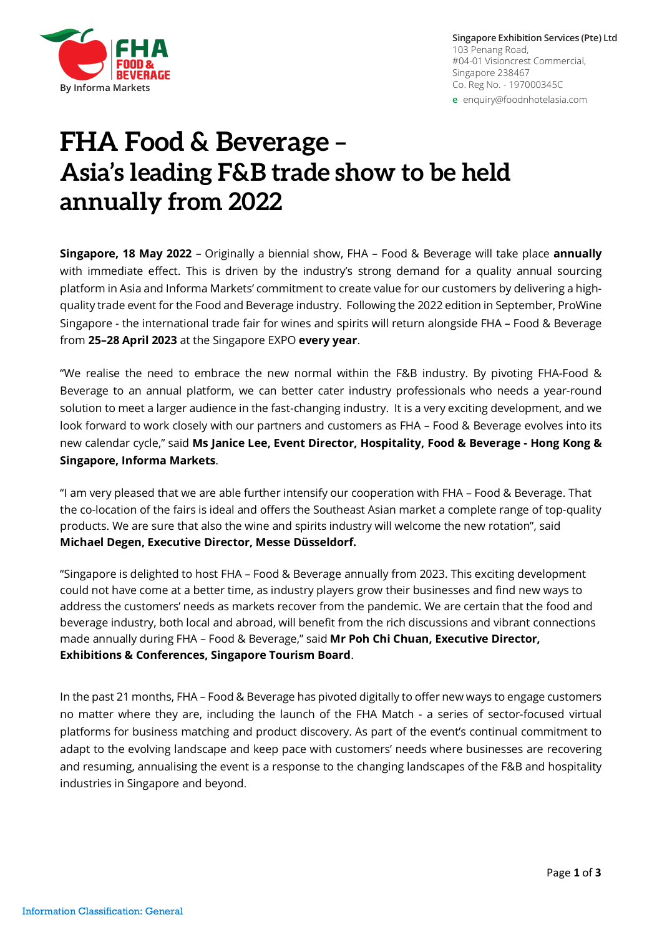

# **FHA Food & Beverage – Asia's leading F&B trade show to be [held](mailto:enquiry@foodnhotelasia.com)  annually from 2022**

**Singapore, 18 May 2022** – Originally a biennial show, FHA – Food & Beverage will take place **annually** with immediate effect. This is driven by the industry's strong demand for a quality annual sourcing platform in Asia and Informa Markets' commitment to create value for our customers by delivering a highquality trade event for the Food and Beverage industry. Following the 2022 edition in September, ProWine Singapore - the international trade fair for wines and spirits will return alongside FHA – Food & Beverage from **25–28 April 2023** at the Singapore EXPO **every year**.

"We realise the need to embrace the new normal within the F&B industry. By pivoting FHA-Food & Beverage to an annual platform, we can better cater industry professionals who needs a year-round solution to meet a larger audience in the fast-changing industry. It is a very exciting development, and we look forward to work closely with our partners and customers as FHA – Food & Beverage evolves into its new calendar cycle," said **Ms Janice Lee, Event Director, Hospitality, Food & Beverage - Hong Kong & Singapore, Informa Markets**.

"I am very pleased that we are able further intensify our cooperation with FHA – Food & Beverage. That the co-location of the fairs is ideal and offers the Southeast Asian market a complete range of top-quality products. We are sure that also the wine and spirits industry will welcome the new rotation", said **Michael Degen, Executive Director, Messe Düsseldorf.**

"Singapore is delighted to host FHA – Food & Beverage annually from 2023. This exciting development could not have come at a better time, as industry players grow their businesses and find new ways to address the customers' needs as markets recover from the pandemic. We are certain that the food and beverage industry, both local and abroad, will benefit from the rich discussions and vibrant connections made annually during FHA – Food & Beverage," said **Mr Poh Chi Chuan, Executive Director, Exhibitions & Conferences, Singapore Tourism Board**.

In the past 21 months, FHA – Food & Beverage has pivoted digitally to offer new ways to engage customers no matter where they are, including the launch of the FHA Match - a series of sector-focused virtual platforms for business matching and product discovery. As part of the event's continual commitment to adapt to the evolving landscape and keep pace with customers' needs where businesses are recovering and resuming, annualising the event is a response to the changing landscapes of the F&B and hospitality industries in Singapore and beyond.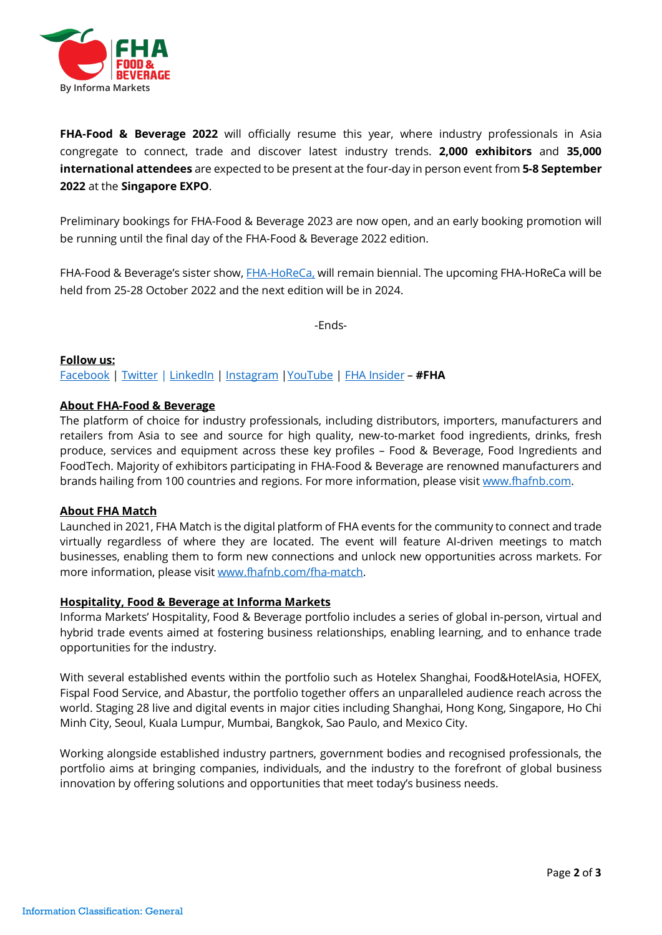

FHA-Food & Beverage 2022 will officially resume this year, where industry professionals in Asia congregate to connect, trade and discover latest industry trends. **2,000 exhibitors** and **35,000 international attendees** are expected to be present at the four-day in person event from **5-8 September 2022** at the **Singapore EXPO**.

Preliminary bookings for FHA-Food & Beverage 2023 are now open, and an early booking promotion will be running until the final day of the FHA-Food & Beverage 2022 edition.

FHA-Food & Beverage's sister show, **FHA-HoReCa**, will remain biennial. The upcoming FHA-HoReCa will be held from 25-28 October 2022 and the next edition will be in 2024.

-Ends-

### **Follow us:**

[Facebook](http://www.facebook.com/FoodnHotelAsia/) | [Twitter](http://www.twitter.com/foodhotelasia/) [| LinkedIn](http://www.linkedin.com/company/foodhotelasia/) | [Instagram](http://www.instagram.com/foodhotelasia/) [|YouTube](http://www.youtube.com/channel/UCgZC6xIAHNxZ0l9FJ8fTsRQ/featured) | [FHA Insider](http://www.fhafnb.com/media-hub/fha-insider/) – **#FHA**

### **About FHA-Food & Beverage**

The platform of choice for industry professionals, including distributors, importers, manufacturers and retailers from Asia to see and source for high quality, new-to-market food ingredients, drinks, fresh produce, services and equipment across these key profiles – Food & Beverage, Food Ingredients and FoodTech. Majority of exhibitors participating in FHA-Food & Beverage are renowned manufacturers and brands hailing from 100 countries and regions. For more information, please visit [www.fhafnb.com.](http://www.fhafnb.com/)

### **About FHA Match**

Launched in 2021, FHA Match is the digital platform of FHA events for the community to connect and trade virtually regardless of where they are located. The event will feature AI-driven meetings to match businesses, enabling them to form new connections and unlock new opportunities across markets. For more information, please visi[t www.fhafnb.com/fha-match.](http://www.fhafnb.com/fha-match)

### **Hospitality, Food & Beverage at Informa Markets**

Informa Markets' Hospitality, Food & Beverage portfolio includes a series of global in-person, virtual and hybrid trade events aimed at fostering business relationships, enabling learning, and to enhance trade opportunities for the industry.

With several established events within the portfolio such as Hotelex Shanghai, Food&HotelAsia, HOFEX, Fispal Food Service, and Abastur, the portfolio together offers an unparalleled audience reach across the world. Staging 28 live and digital events in major cities including Shanghai, Hong Kong, Singapore, Ho Chi Minh City, Seoul, Kuala Lumpur, Mumbai, Bangkok, Sao Paulo, and Mexico City.

Working alongside established industry partners, government bodies and recognised professionals, the portfolio aims at bringing companies, individuals, and the industry to the forefront of global business innovation by offering solutions and opportunities that meet today's business needs.